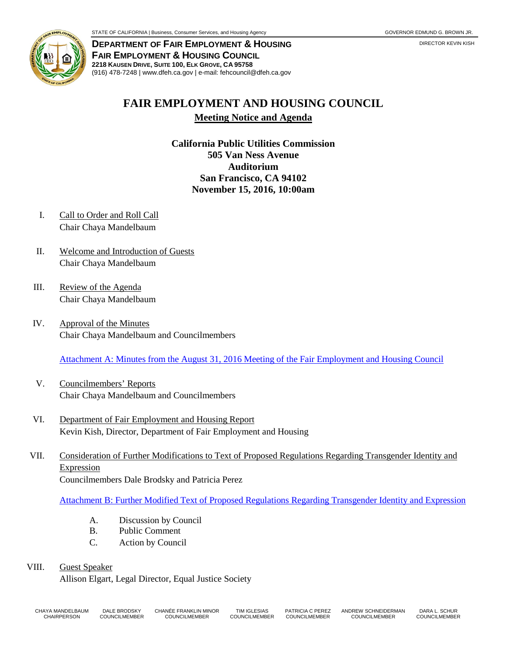

**DEPARTMENT OF FAIR EMPLOYMENT & HOUSING FAIR EMPLOYMENT & HOUSING COUNCIL 2218 KAUSEN DRIVE, SUITE 100, ELK GROVE, CA 95758** (916) 478-7248 | www.dfeh.ca.gov | e-mail: fehcouncil@dfeh.ca.gov

## **FAIR EMPLOYMENT AND HOUSING COUNCIL Meeting Notice and Agenda**

**California Public Utilities Commission 505 Van Ness Avenue Auditorium San Francisco, CA 94102 November 15, 2016, 10:00am** 

- I. Call to Order and Roll Call Chair Chaya Mandelbaum
- II. Welcome and Introduction of Guests Chair Chaya Mandelbaum
- III. Review of the Agenda Chair Chaya Mandelbaum
- IV. Approval of the Minutes Chair Chaya Mandelbaum and Councilmembers

[Attachment A: Minutes from the August 31, 2016 Meeting of the Fair Employment and Housing Council](/wp-content/uploads/sites/32/2017/06/AttachA-FEHCMinutes2016Aug.pdf)

- V. Councilmembers' Reports Chair Chaya Mandelbaum and Councilmembers
- VI. Department of Fair Employment and Housing Report Kevin Kish, Director, Department of Fair Employment and Housing
- VII. Consideration of Further Modifications to Text of Proposed Regulations Regarding Transgender Identity and Expression Councilmembers Dale Brodsky and Patricia Perez

[Attachment B: Further Modified Text of Proposed Regulations Regarding Transgender Identity and Expression](/wp-content/uploads/sites/32/2017/06/AttachB-FurtherModTextRegRegardTransgenderIdExpression.pdf)

- A. Discussion by Council
- B. Public Comment
- C. Action by Council

## VIII. Guest Speaker

Allison Elgart, Legal Director, Equal Justice Society